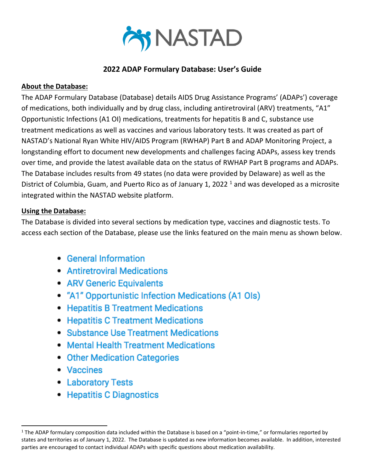

## **2022 ADAP Formulary Database: User's Guide**

## **About the Database:**

The ADAP Formulary Database (Database) details AIDS Drug Assistance Programs' (ADAPs') coverage of medications, both individually and by drug class, including antiretroviral (ARV) treatments, "A1" Opportunistic Infections (A1 OI) medications, treatments for hepatitis B and C, substance use treatment medications as well as vaccines and various laboratory tests. It was created as part of NASTAD's National Ryan White HIV/AIDS Program (RWHAP) Part B and ADAP Monitoring Project, a longstanding effort to document new developments and challenges facing ADAPs, assess key trends over time, and provide the latest available data on the status of RWHAP Part B programs and ADAPs. The Database includes results from 49 states (no data were provided by Delaware) as well as the District of Columbia, Guam, and Puerto Rico as of January 1, 2022<sup>1</sup> and was developed as a microsite integrated within the NASTAD website platform.

## **Using the Database:**

The Database is divided into several sections by medication type, vaccines and diagnostic tests. To access each section of the Database, please use the links featured on the main menu as shown below.

- General Information
- Antiretroviral Medications
- ARV Generic Equivalents
- "A1" Opportunistic Infection Medications (A1 Ols)
- Hepatitis B Treatment Medications
- Hepatitis C Treatment Medications
- Substance Use Treatment Medications
- Mental Health Treatment Medications
- Other Medication Categories
- Vaccines
- Laboratory Tests
- Hepatitis C Diagnostics

 $1$  The ADAP formulary composition data included within the Database is based on a "point-in-time," or formularies reported by states and territories as of January 1, 2022. The Database is updated as new information becomes available. In addition, interested parties are encouraged to contact individual ADAPs with specific questions about medication availability.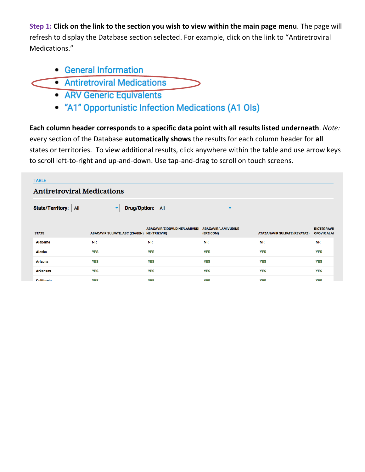**Step 1: Click on the link to the section you wish to view within the main page menu**. The page will refresh to display the Database section selected. For example, click on the link to "Antiretroviral Medications."

- General Information
- Antiretroviral Medications
	- ARV Generic Equivalents
	- "A1" Opportunistic Infection Medications (A1 Ols)

**Each column header corresponds to a specific data point with all results listed underneath**. *Note:* every section of the Database **automatically shows** the results for each column header for **all** states or territories. To view additional results, click anywhere within the table and use arrow keys to scroll left-to-right and up-and-down. Use tap-and-drag to scroll on touch screens.

| <b>TABLE</b>                                                                           |            |                                                                              |                                         |                                     |                                          |  |
|----------------------------------------------------------------------------------------|------------|------------------------------------------------------------------------------|-----------------------------------------|-------------------------------------|------------------------------------------|--|
| <b>Antiretroviral Medications</b>                                                      |            |                                                                              |                                         |                                     |                                          |  |
| <b>Drug/Option:</b><br>State/Territory:<br>All<br>All<br>▼<br>$\overline{\phantom{a}}$ |            |                                                                              |                                         |                                     |                                          |  |
| <b>STATE</b>                                                                           |            | ABACAVIR/ZIDOVUDINE/LAMIVUDI<br>ABACAVIR SULFATE, ABC (ZIAGEN) NE (TRIZIVIR) | <b>ABACAVIR/LAMIVUDINE</b><br>(EPZICOM) | <b>ATAZANAVIR SULFATE (REYATAZ)</b> | <b>BICTEGRAVII</b><br><b>OFOVIR ALAI</b> |  |
| Alabama                                                                                | <b>NR</b>  | <b>NR</b>                                                                    | <b>NR</b>                               | <b>NR</b>                           | <b>NR</b>                                |  |
| Alaska                                                                                 | <b>YES</b> | <b>YES</b>                                                                   | <b>YES</b>                              | <b>YES</b>                          | <b>YES</b>                               |  |
| <b>Arizona</b>                                                                         |            |                                                                              |                                         |                                     |                                          |  |
|                                                                                        | <b>YES</b> | <b>YES</b>                                                                   | <b>YES</b>                              | <b>YES</b>                          | <b>YES</b>                               |  |
| <b>Arkansas</b>                                                                        | <b>YES</b> | <b>YES</b>                                                                   | <b>YES</b>                              | <b>YES</b>                          | <b>YES</b>                               |  |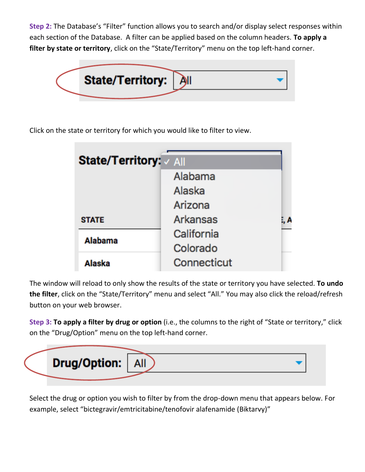**Step 2:** The Database's "Filter" function allows you to search and/or display select responses within each section of the Database. A filter can be applied based on the column headers. **To apply a filter by state or territory**, click on the "State/Territory" menu on the top left-hand corner.



Click on the state or territory for which you would like to filter to view.

| State/Territory: / All |                 |     |  |  |
|------------------------|-----------------|-----|--|--|
|                        | Alabama         |     |  |  |
|                        | Alaska          |     |  |  |
|                        | Arizona         |     |  |  |
| <b>STATE</b>           | <b>Arkansas</b> | . А |  |  |
| <b>Alabama</b>         | California      |     |  |  |
|                        | Colorado        |     |  |  |
| Alaska                 | Connecticut     |     |  |  |

The window will reload to only show the results of the state or territory you have selected. **To undo the filter**, click on the "State/Territory" menu and select "All." You may also click the reload/refresh button on your web browser.

**Step 3: To apply a filter by drug or option** (i.e., the columns to the right of "State or territory," click on the "Drug/Option" menu on the top left-hand corner.



Select the drug or option you wish to filter by from the drop-down menu that appears below. For example, select "bictegravir/emtricitabine/tenofovir alafenamide (Biktarvy)"